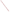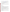# **Consumer Factsheet on: 1,1,2-TRICHLOROETHANE**

# [List of Contaminants](http://www.epa.gov/safewater/hfacts.html)

 As part of the Drinking Water and Health pages, this fact sheet is part of a larger publication: **National Primary Drinking Water Regulations** 

 States Environmental Protection Agency (EPA). This is a factsheet about a chemical that may be found in some public or private drinking water supplies. It may cause health problems if found in amounts greater than the health standard set by the United

## **What is 1,1,2-TCE and how is it used?**

1,1,2-Trichloroethane (1,1,2-TCE) is an organic liquid with a chloroform-like odor. It is only used to make vinylidene chloride which is in turn used to make synthetic fibers and plastic wraps such as the saran wrap.

 The list of trade names given below may help you find out whether you are using this chemical at home or work.

## **Trade Names and Synonyms:**

Beta trichloroethane Beta-T Vinyl trichloride

# **Why is 1,1,2-TCE being Regulated?**

 based solely on possible health risks and exposure, are called Maximum Contaminant Level Goals. In 1974, Congress passed the Safe Drinking Water Act. This law requires EPA to determine safe levels of chemicals in drinking water which do or may cause health problems. These non-enforceable levels,

 The MCLG for 1,1,2-TCE has been set at 3 parts per billion (ppb) because EPA believes this level of protection would not cause any of the potential health problems described below.

 Based on this MCLG, EPA has set an enforceable standard called a Maximum Contaminant Level (MCL). MCLs are set as close to the MCLGs as possible, considering the ability of public water systems to detect and remove contaminants using suitable treatment technologies.

 The MCL has been set at 5 ppb because EPA believes, given present technology and resources, this is occur in drinking water. the lowest level to which water systems can reasonably be required to remove this contaminant should it

These drinking water standards and the regulations for ensuring these standards are met, are called National Primary Drinking Water Regulations. All public water supplies must abide by these regulations.

#### **What are the Health Effects?**

Short-term: EPA has found 1,1,2-TCE to potentially cause the following health effects when people are exposed to it at levels above the MCL for relatively short periods of time: irritation of gastrointestinal tract; red or hemorrhaged lungs; pale liver.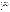Long-term: 1,1,2-TCE has the potential to cause the following effects from a lifetime exposure at levels above the MCL: damage to liver and kidneys; cancer.

## **How much 1,1,2-TCE is produced and released to the environment?**

An estimated 124 million lbs. of 1,1,2-TCE was produced in the US during 1974, based on the manufacture of vinylidene chloride. It evaporates during its use in the manufacture of vinylidene chloride and as a solvent. It is also released in wastewater from these uses, and in leachates and volatile emissions from landfills. The EPA estimates the gross annual discharge of 1,1,2-TCE waste in the US to be 4 million lbs.

From 1987 to 1993, according to EPA's Toxic Chemical Release Inventory, 1,1,2-TCE releases to land and water totalled over 30,000 lbs., of which about 98 percent was to water. These releases were primarily from alkali and chlorine industries. The largest releases occurred in Louisiana and Texas.

## **What happens to 1,1,2-TCE when it is released to the environment?**

 and partially leach into the groundwater. Its break down by microbes, if it occurs, is very slow. 1,1,2-TCE When released into water, 1,1,2-TCE should primarily evaporate. In soils, it should partially evaporate shows little tendency to accumulate in aquatic life.

## **How will 1,1,2-TCE be Detected in and Removed from My Drinking Water?**

contaminant The regulation for 1,1,2-TCE became effective in 1994. Between 1993 and 1995, EPA required your water supplier to collect water samples every 3 months for one year and analyze them to find out if 1,1,2-TCE is present above 0.5 ppb. If it is present above this level, the system must continue to monitor this

 methods have been approved by EPA for removing 1,1,2-TCE: Granular activated charcoal in combination with Packed Tower Aeration. If contaminant levels are found to be consistently above the MCL, your water supplier must take steps to reduce the amount of 1,1,2-TCE so that it is consistently below that level. The following treatment

# **How will I know if 1,1,2-TCE is in my drinking water?**

 be required to prevent serious risks to public health. If the levels of 1,1,2-TCE exceed the MCL, 5 ppb, the system must notify the public via newspapers, radio, TV and other means. Additional actions, such as providing alternative drinking water supplies, may

#### **Drinking Water Standards:**

Mclg: 3 ppb

Mcl: 5 ppb

#### **1,1,2-TCE Releases to Water and Land, 1987 to 1993 (in pounds):**

| <b>TOTALS (in pounds)</b><br>Top Five States* | Water<br>30,326 | Land<br>756 |
|-----------------------------------------------|-----------------|-------------|
| LA                                            | 14,481332       |             |
| TX                                            | 9.699           | 294         |
| <b>NY</b>                                     | 4.570           | 130         |
| <b>MD</b>                                     | 750             | 0           |